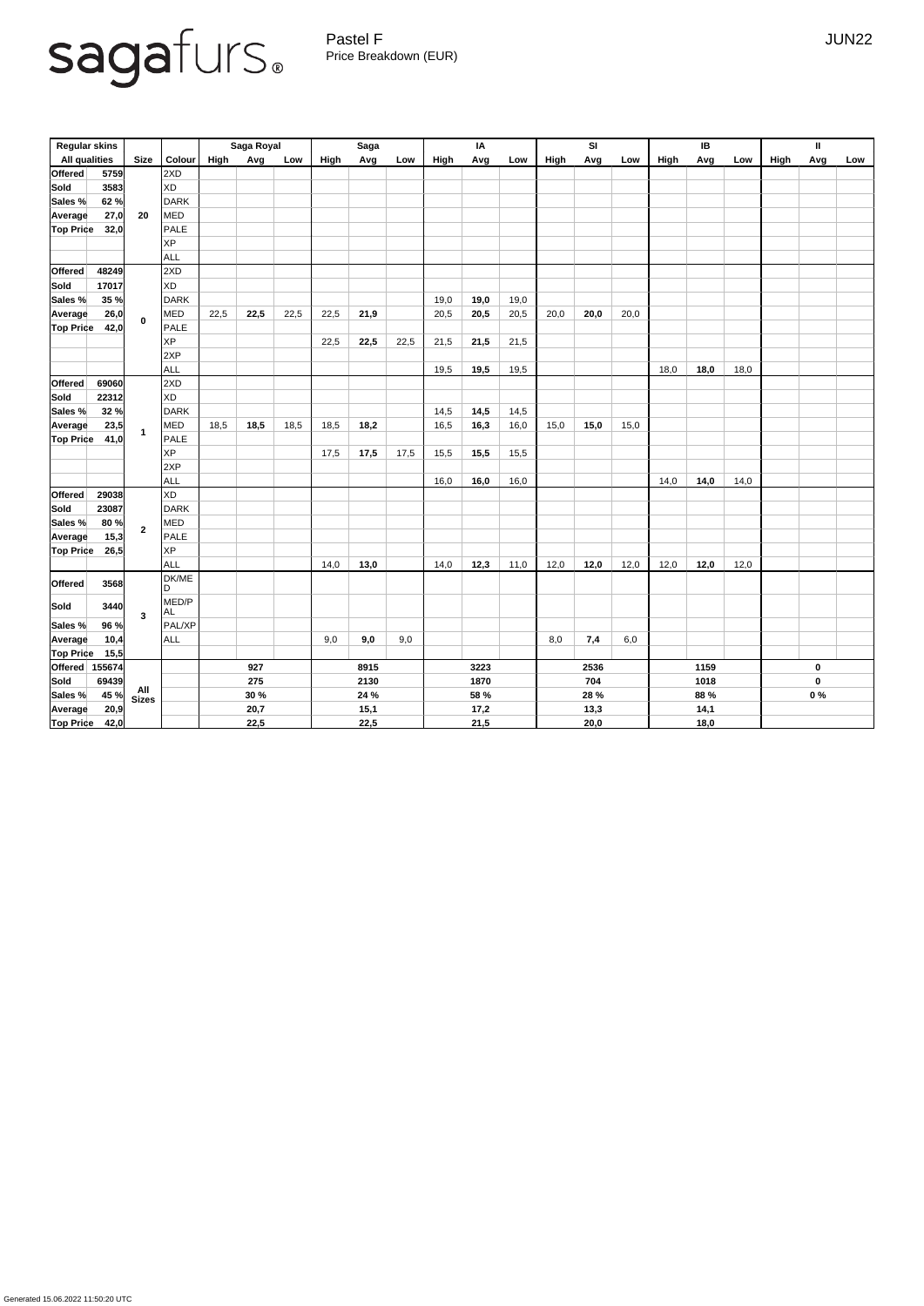## sagafurs.

Pastel F Germany and the set of the set of the set of the set of the set of the set of the set of the set of the set of the set of the set of the set of the set of the set of the set of the set of the set of the set of the Price Breakdown (EUR)

| <b>Regular skins</b> |                |                |               | Saga Royal  |      |      | <b>Saga</b> |      |      | IA   |      |      | SI   |      |      | IB          |      |      | $\mathbf{I}$ |             |     |
|----------------------|----------------|----------------|---------------|-------------|------|------|-------------|------|------|------|------|------|------|------|------|-------------|------|------|--------------|-------------|-----|
| <b>All qualities</b> |                | <b>Size</b>    | <b>Colour</b> | High        | Avg  | Low  | High        | Avg  | Low  | High | Avg  | Low  | High | Avg  | Low  | High        | Avg  | Low  | High         | Avg         | Low |
| <b>Offered</b>       | 5759           |                | 2XD           |             |      |      |             |      |      |      |      |      |      |      |      |             |      |      |              |             |     |
| Sold                 | 3583           |                | XD            |             |      |      |             |      |      |      |      |      |      |      |      |             |      |      |              |             |     |
| Sales %              | 62 %           |                | <b>DARK</b>   |             |      |      |             |      |      |      |      |      |      |      |      |             |      |      |              |             |     |
| <b>Average</b>       | 27,0           | 20             | MED           |             |      |      |             |      |      |      |      |      |      |      |      |             |      |      |              |             |     |
| Top Price            | 32,0           |                | <b>PALE</b>   |             |      |      |             |      |      |      |      |      |      |      |      |             |      |      |              |             |     |
|                      |                |                | <b>XP</b>     |             |      |      |             |      |      |      |      |      |      |      |      |             |      |      |              |             |     |
|                      |                |                | <b>ALL</b>    |             |      |      |             |      |      |      |      |      |      |      |      |             |      |      |              |             |     |
| <b>Offered</b>       | 48249          |                | 2XD           |             |      |      |             |      |      |      |      |      |      |      |      |             |      |      |              |             |     |
| <b>Sold</b>          | 17017          |                | <b>XD</b>     |             |      |      |             |      |      |      |      |      |      |      |      |             |      |      |              |             |     |
| Sales %              | 35 %           |                | <b>DARK</b>   |             |      |      |             |      |      | 19,0 | 19,0 | 19,0 |      |      |      |             |      |      |              |             |     |
| Average              | 26,0           |                | <b>MED</b>    | 22,5        | 22,5 | 22,5 | 22,5        | 21,9 |      | 20,5 | 20,5 | 20,5 | 20,0 | 20,0 | 20,0 |             |      |      |              |             |     |
| <b>Top Price</b>     | 42,0           | $\mathbf 0$    | <b>PALE</b>   |             |      |      |             |      |      |      |      |      |      |      |      |             |      |      |              |             |     |
|                      |                |                | <b>XP</b>     |             |      |      | 22,5        | 22,5 | 22,5 | 21,5 | 21,5 | 21,5 |      |      |      |             |      |      |              |             |     |
|                      |                |                | 2XP           |             |      |      |             |      |      |      |      |      |      |      |      |             |      |      |              |             |     |
|                      |                |                | <b>ALL</b>    |             |      |      |             |      |      | 19,5 | 19,5 | 19,5 |      |      |      | 18,0        | 18,0 | 18,0 |              |             |     |
| <b>Offered</b>       | 69060          |                | 2XD           |             |      |      |             |      |      |      |      |      |      |      |      |             |      |      |              |             |     |
| Sold                 | 22312          |                | <b>XD</b>     |             |      |      |             |      |      |      |      |      |      |      |      |             |      |      |              |             |     |
| Sales %              | 32 %           |                | <b>DARK</b>   |             |      |      |             |      |      | 14,5 | 14,5 | 14,5 |      |      |      |             |      |      |              |             |     |
| <b>Average</b>       | 23,5           |                | <b>MED</b>    | 18,5        | 18,5 | 18,5 | 18,5        | 18,2 |      | 16,5 | 16,3 | 16,0 | 15,0 | 15,0 | 15,0 |             |      |      |              |             |     |
| <b>Top Price</b>     | 41,0           | $\mathbf 1$    | <b>PALE</b>   |             |      |      |             |      |      |      |      |      |      |      |      |             |      |      |              |             |     |
|                      |                |                | <b>XP</b>     |             |      |      | 17,5        | 17,5 | 17,5 | 15,5 | 15,5 | 15,5 |      |      |      |             |      |      |              |             |     |
|                      |                |                | 2XP           |             |      |      |             |      |      |      |      |      |      |      |      |             |      |      |              |             |     |
|                      |                |                | <b>ALL</b>    |             |      |      |             |      |      | 16,0 | 16,0 | 16,0 |      |      |      | 14,0        | 14,0 | 14,0 |              |             |     |
| Offered              | 29038          |                | <b>XD</b>     |             |      |      |             |      |      |      |      |      |      |      |      |             |      |      |              |             |     |
| Sold                 | 23087          |                | <b>DARK</b>   |             |      |      |             |      |      |      |      |      |      |      |      |             |      |      |              |             |     |
| Sales %              | 80%            | $\overline{2}$ | MED           |             |      |      |             |      |      |      |      |      |      |      |      |             |      |      |              |             |     |
| Average              | 15,3           |                | <b>PALE</b>   |             |      |      |             |      |      |      |      |      |      |      |      |             |      |      |              |             |     |
| <b>Top Price</b>     | 26,5           |                | <b>XP</b>     |             |      |      |             |      |      |      |      |      |      |      |      |             |      |      |              |             |     |
|                      |                |                | <b>ALL</b>    |             |      |      | 14,0        | 13,0 |      | 14,0 | 12,3 | 11,0 | 12,0 | 12,0 | 12,0 | 12,0        | 12,0 | 12,0 |              |             |     |
| Offered              | 3568           |                | DK/ME<br>D    |             |      |      |             |      |      |      |      |      |      |      |      |             |      |      |              |             |     |
| Sold                 | 3440           |                | MED/P         |             |      |      |             |      |      |      |      |      |      |      |      |             |      |      |              |             |     |
| Sales %              | $96 \%$        | $\mathbf{3}$   | AL<br>PAL/XP  |             |      |      |             |      |      |      |      |      |      |      |      |             |      |      |              |             |     |
| Average              | 10,4           |                | ALL           |             |      |      | 9,0         | 9,0  | 9,0  |      |      |      | 8,0  | 7,4  | 6,0  |             |      |      |              |             |     |
| <b>Top Price</b>     | 15,5           |                |               |             |      |      |             |      |      |      |      |      |      |      |      |             |      |      |              |             |     |
|                      | Offered 155674 |                |               | 927         |      | 8915 |             |      | 3223 |      | 2536 |      | 1159 |      |      | $\mathbf 0$ |      |      |              |             |     |
| Sold                 | 69439          | All<br>Sizes   |               | 275         |      |      | 2130        |      |      | 1870 |      |      | 704  |      |      | 1018        |      |      |              | $\mathbf 0$ |     |
| Sales %              | 45 %           |                |               | <b>30 %</b> |      |      | 24 %        |      |      | 58 % |      |      | 28 % |      |      | 88 %        |      |      | $0\%$        |             |     |
| Average              | 20,9           |                |               | 20,7        |      |      | 15,1        |      |      | 17,2 |      |      | 13,3 |      |      | 14,1        |      |      |              |             |     |
| <b>Top Price</b>     | 42,0           |                |               | 22,5        |      |      | 22,5        |      |      | 21,5 |      |      | 20,0 |      |      | 18,0        |      |      |              |             |     |